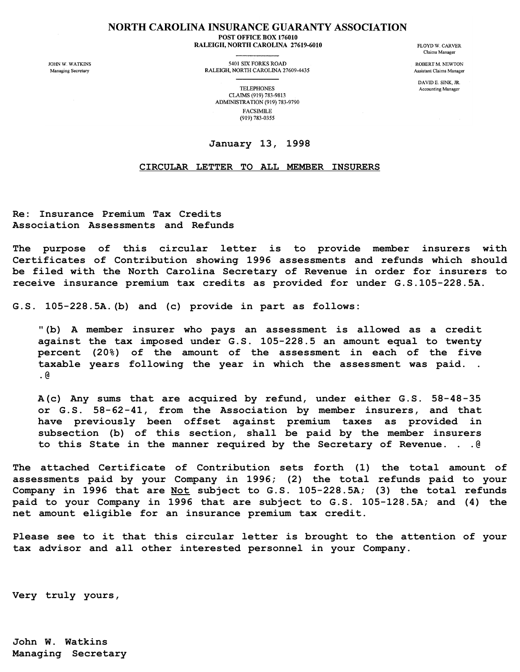## **NORTH CAROLINA INSURANCE GUARANTY ASSOCIATION** POST OFFICE BOX 176010 RALEIGH, NORTH CAROLINA 27619-6010

**JOHN W WATKINS** Managing Secretary

5401 SIX FORKS ROAD RALEIGH, NORTH CAROLINA 27609-4435 **FLOYD W. CARVER** Claims Manager

ROBERT M NEWTON **Assistant Claims Manager** 

DAVID E. SINK. JR. Accounting Manager

**TELEPHONES** CLAIMS (919) 783-9813 ADMINISTRATION (919) 783-9790 **FACSIMILE** (919) 783-0355

## **January 13, 1998**

## **CIRCULAR LETTER TO ALL MEMBER INSURERS**

**Re: Insurance Premium Tax Credits Association Assessments and Refunds**

**The purpose of this circular letter is to provide member insurers with Certificates of Contribution showing 1996 assessments and refunds which should be filed with the North Carolina Secretary of Revenue in order for insurers to receive insurance premium tax credits as provided for under G.S.105-228.5A.**

**G.S. 105-228.5A.(b) and (c) provide in part as follows:**

**"(b) A member insurer who pays an assessment is allowed as a credit against the tax imposed under G.S. 105-228.5 an amount equal to twenty percent (20%) of the amount of the assessment in each of the five taxable years following the year in which the assessment was paid. . .@**

**A(c) Any sums that are acquired by refund, under either G.S. 58-48-35 or G.S. 58-62-41, from the Association by member insurers, and that have previously been offset against premium taxes as provided in subsection (b) of this section, shall be paid by the member insurers to this State in the manner required by the Secretary of Revenue. . .@**

**The attached Certificate of Contribution sets forth (1) the total amount of assessments paid by your Company in 1996; (2) the total refunds paid to your Company in 1996 that are Not subject to G.S. 105-228.5A; (3) the total refunds paid to your Company in 1996 that are subject to G.S. 105-128.5A; and (4) the net amount eligible for an insurance premium tax credit.**

**Please see to it that this circular letter is brought to the attention of your tax advisor and all other interested personnel in your Company.**

**Very truly yours,**

**John W. Watkins Managing Secretary**